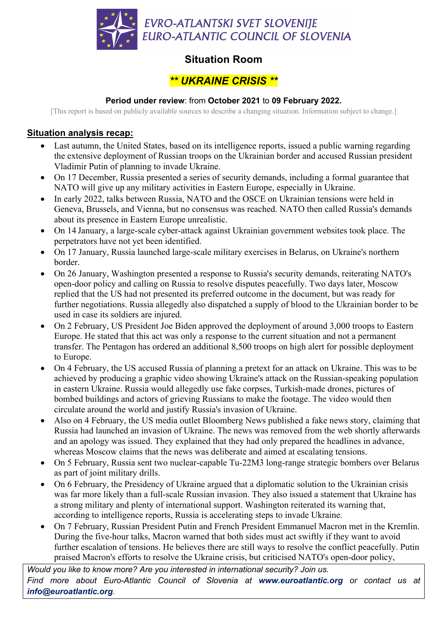

## **Situation Room**

# *\*\* UKRAINE CRISIS \*\**

### **Period under review**: from **October 2021** to **09 February 2022.**

[This report is based on publicly available sources to describe a changing situation. Information subject to change.]

### **Situation analysis recap:**

- Last autumn, the United States, based on its intelligence reports, issued a public warning regarding the extensive deployment of Russian troops on the Ukrainian border and accused Russian president Vladimir Putin of planning to invade Ukraine.
- On 17 December, Russia presented a series of security demands, including a formal guarantee that NATO will give up any military activities in Eastern Europe, especially in Ukraine.
- In early 2022, talks between Russia, NATO and the OSCE on Ukrainian tensions were held in Geneva, Brussels, and Vienna, but no consensus was reached. NATO then called Russia's demands about its presence in Eastern Europe unrealistic.
- On 14 January, a large-scale cyber-attack against Ukrainian government websites took place. The perpetrators have not yet been identified.
- On 17 January, Russia launched large-scale military exercises in Belarus, on Ukraine's northern border.
- On 26 January, Washington presented a response to Russia's security demands, reiterating NATO's open-door policy and calling on Russia to resolve disputes peacefully. Two days later, Moscow replied that the US had not presented its preferred outcome in the document, but was ready for further negotiations. Russia allegedly also dispatched a supply of blood to the Ukrainian border to be used in case its soldiers are injured.
- On 2 February, US President Joe Biden approved the deployment of around 3,000 troops to Eastern Europe. He stated that this act was only a response to the current situation and not a permanent transfer. The Pentagon has ordered an additional 8,500 troops on high alert for possible deployment to Europe.
- On 4 February, the US accused Russia of planning a pretext for an attack on Ukraine. This was to be achieved by producing a graphic video showing Ukraine's attack on the Russian-speaking population in eastern Ukraine. Russia would allegedly use fake corpses, Turkish-made drones, pictures of bombed buildings and actors of grieving Russians to make the footage. The video would then circulate around the world and justify Russia's invasion of Ukraine.
- Also on 4 February, the US media outlet Bloomberg News published a fake news story, claiming that Russia had launched an invasion of Ukraine. The news was removed from the web shortly afterwards and an apology was issued. They explained that they had only prepared the headlines in advance, whereas Moscow claims that the news was deliberate and aimed at escalating tensions.
- On 5 February, Russia sent two nuclear-capable Tu-22M3 long-range strategic bombers over Belarus as part of joint military drills.
- On 6 February, the Presidency of Ukraine argued that a diplomatic solution to the Ukrainian crisis was far more likely than a full-scale Russian invasion. They also issued a statement that Ukraine has a strong military and plenty of international support. Washington reiterated its warning that, according to intelligence reports, Russia is accelerating steps to invade Ukraine.
- On 7 February, Russian President Putin and French President Emmanuel Macron met in the Kremlin. During the five-hour talks, Macron warned that both sides must act swiftly if they want to avoid further escalation of tensions. He believes there are still ways to resolve the conflict peacefully. Putin praised Macron's efforts to resolve the Ukraine crisis, but criticised NATO's open-door policy,

*Would you like to know more? Are you interested in international security? Join us. Find more about Euro-Atlantic Council of Slovenia at www.euroatlantic.org or contact us at info@euroatlantic.org.*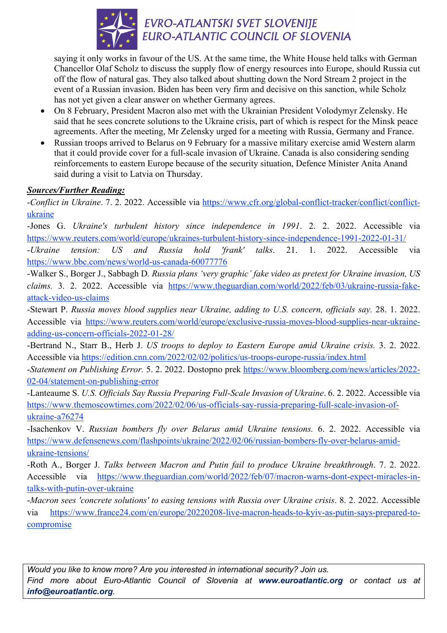

saying it only works in favour of the US. At the same time, the White House held talks with German Chancellor Olaf Scholz to discuss the supply flow of energy resources into Europe, should Russia cut off the flow of natural gas. They also talked about shutting down the Nord Stream 2 project in the event of a Russian invasion. Biden has been very firm and decisive on this sanction, while Scholz has not yet given a clear answer on whether Germany agrees.

- On 8 February, President Macron also met with the Ukrainian President Volodymyr Zelensky. He said that he sees concrete solutions to the Ukraine crisis, part of which is respect for the Minsk peace agreements. After the meeting, Mr Zelensky urged for a meeting with Russia, Germany and France.
- Russian troops arrived to Belarus on 9 February for a massive military exercise amid Western alarm that it could provide cover for a full-scale invasion of Ukraine. Canada is also considering sending reinforcements to eastern Europe because of the security situation, Defence Minister Anita Anand said during a visit to Latvia on Thursday.

#### *Sources/Further Reading:*

-*Conflict in Ukraine*. 7. 2. 2022. Accessible via https://www.cfr.org/global-conflict-tracker/conflict/conflictukraine

-Jones G. *Ukraine's turbulent history since independence in 1991*. 2. 2. 2022. Accessible via https://www.reuters.com/world/europe/ukraines-turbulent-history-since-independence-1991-2022-01-31/

-*Ukraine tension: US and Russia hold 'frank' talks*. 21. 1. 2022. Accessible via https://www.bbc.com/news/world-us-canada-60077776

-Walker S., Borger J., Sabbagh D*. Russia plans 'very graphic' fake video as pretext for Ukraine invasion, US claims.* 3. 2. 2022. Accessible via https://www.theguardian.com/world/2022/feb/03/ukraine-russia-fakeattack-video-us-claims

-Stewart P. *Russia moves blood supplies near Ukraine, adding to U.S. concern, officials say.* 28. 1. 2022. Accessible via https://www.reuters.com/world/europe/exclusive-russia-moves-blood-supplies-near-ukraineadding-us-concern-officials-2022-01-28/

-Bertrand N., Starr B., Herb J. *US troops to deploy to Eastern Europe amid Ukraine crisis.* 3. 2. 2022. Accessible via https://edition.cnn.com/2022/02/02/politics/us-troops-europe-russia/index.html

-*Statement on Publishing Error.* 5. 2. 2022. Dostopno prek https://www.bloomberg.com/news/articles/2022- 02-04/statement-on-publishing-error

-Lanteaume S. *U.S. Officials Say Russia Preparing Full-Scale Invasion of Ukraine*. 6. 2. 2022. Accessible via https://www.themoscowtimes.com/2022/02/06/us-officials-say-russia-preparing-full-scale-invasion-ofukraine-a76274

-Isachenkov V. *Russian bombers fly over Belarus amid Ukraine tensions.* 6. 2. 2022. Accessible via https://www.defensenews.com/flashpoints/ukraine/2022/02/06/russian-bombers-fly-over-belarus-amidukraine-tensions/

-Roth A., Borger J. *Talks between Macron and Putin fail to produce Ukraine breakthrough*. 7. 2. 2022. Accessible via https://www.theguardian.com/world/2022/feb/07/macron-warns-dont-expect-miracles-intalks-with-putin-over-ukraine

-*Macron sees 'concrete solutions' to easing tensions with Russia over Ukraine crisis*. 8. 2. 2022. Accessible via https://www.france24.com/en/europe/20220208-live-macron-heads-to-kyiv-as-putin-says-prepared-tocompromise

*Would you like to know more? Are you interested in international security? Join us. Find more about Euro-Atlantic Council of Slovenia at www.euroatlantic.org or contact us at info@euroatlantic.org.*